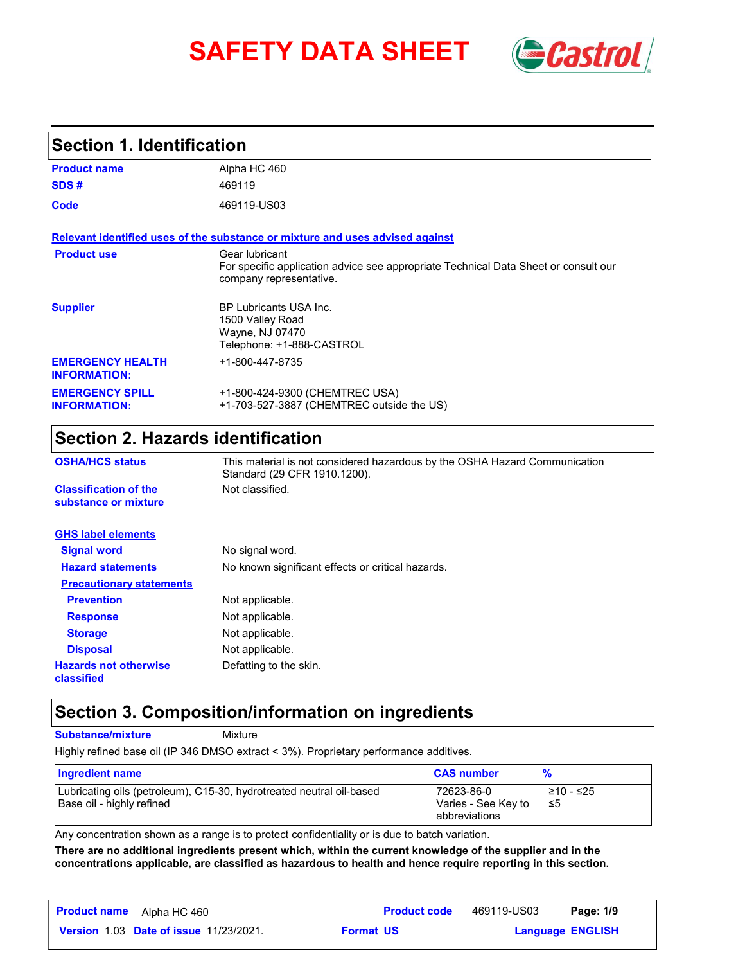# **SAFETY DATA SHEET** *Castrol*



### **Section 1. Identification**

| <b>Product name</b>                            | Alpha HC 460                                                                                                                     |
|------------------------------------------------|----------------------------------------------------------------------------------------------------------------------------------|
| SDS#                                           | 469119                                                                                                                           |
| Code                                           | 469119-US03                                                                                                                      |
|                                                | Relevant identified uses of the substance or mixture and uses advised against                                                    |
| <b>Product use</b>                             | Gear lubricant<br>For specific application advice see appropriate Technical Data Sheet or consult our<br>company representative. |
| <b>Supplier</b>                                | <b>BP Lubricants USA Inc.</b><br>1500 Valley Road<br>Wayne, NJ 07470<br>Telephone: +1-888-CASTROL                                |
| <b>EMERGENCY HEALTH</b><br><b>INFORMATION:</b> | +1-800-447-8735                                                                                                                  |
| <b>EMERGENCY SPILL</b><br><b>INFORMATION:</b>  | +1-800-424-9300 (CHEMTREC USA)<br>+1-703-527-3887 (CHEMTREC outside the US)                                                      |

## **Section 2. Hazards identification**

| <b>OSHA/HCS status</b>                               | This material is not considered hazardous by the OSHA Hazard Communication<br>Standard (29 CFR 1910.1200). |  |
|------------------------------------------------------|------------------------------------------------------------------------------------------------------------|--|
| <b>Classification of the</b><br>substance or mixture | Not classified.                                                                                            |  |
| <b>GHS label elements</b>                            |                                                                                                            |  |
| <b>Signal word</b>                                   | No signal word.                                                                                            |  |
| <b>Hazard statements</b>                             | No known significant effects or critical hazards.                                                          |  |
| <b>Precautionary statements</b>                      |                                                                                                            |  |
| <b>Prevention</b>                                    | Not applicable.                                                                                            |  |
| <b>Response</b>                                      | Not applicable.                                                                                            |  |
| <b>Storage</b>                                       | Not applicable.                                                                                            |  |
| <b>Disposal</b>                                      | Not applicable.                                                                                            |  |
| <b>Hazards not otherwise</b><br>classified           | Defatting to the skin.                                                                                     |  |

### **Section 3. Composition/information on ingredients**

**Substance/mixture Mixture** 

Highly refined base oil (IP 346 DMSO extract < 3%). Proprietary performance additives.

| Ingredient name                                                                                   | <b>CAS number</b>                                  | $\frac{9}{6}$    |
|---------------------------------------------------------------------------------------------------|----------------------------------------------------|------------------|
| Lubricating oils (petroleum), C15-30, hydrotreated neutral oil-based<br>Base oil - highly refined | 72623-86-0<br>Varies - See Key to<br>abbreviations | ≥10 - ≤25<br>-≤5 |

Any concentration shown as a range is to protect confidentiality or is due to batch variation.

**There are no additional ingredients present which, within the current knowledge of the supplier and in the concentrations applicable, are classified as hazardous to health and hence require reporting in this section.**

| <b>Product name</b><br>Alpha HC 460           | <b>Product code</b> | 469119-US03 | Page: 1/9               |
|-----------------------------------------------|---------------------|-------------|-------------------------|
| <b>Version 1.03 Date of issue 11/23/2021.</b> | <b>Format US</b>    |             | <b>Language ENGLISH</b> |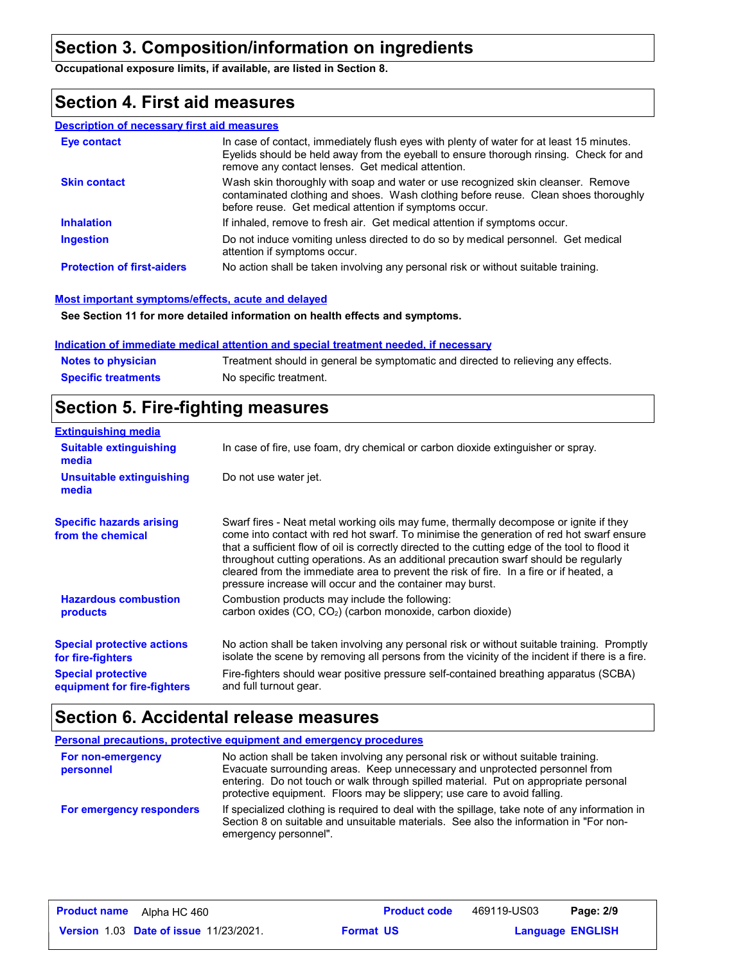### **Section 3. Composition/information on ingredients**

**Occupational exposure limits, if available, are listed in Section 8.**

### **Section 4. First aid measures**

#### **Description of necessary first aid measures**

| <b>Eve contact</b>                | In case of contact, immediately flush eyes with plenty of water for at least 15 minutes.<br>Eyelids should be held away from the eyeball to ensure thorough rinsing. Check for and<br>remove any contact lenses. Get medical attention. |
|-----------------------------------|-----------------------------------------------------------------------------------------------------------------------------------------------------------------------------------------------------------------------------------------|
| <b>Skin contact</b>               | Wash skin thoroughly with soap and water or use recognized skin cleanser. Remove<br>contaminated clothing and shoes. Wash clothing before reuse. Clean shoes thoroughly<br>before reuse. Get medical attention if symptoms occur.       |
| <b>Inhalation</b>                 | If inhaled, remove to fresh air. Get medical attention if symptoms occur.                                                                                                                                                               |
| <b>Ingestion</b>                  | Do not induce vomiting unless directed to do so by medical personnel. Get medical<br>attention if symptoms occur.                                                                                                                       |
| <b>Protection of first-aiders</b> | No action shall be taken involving any personal risk or without suitable training.                                                                                                                                                      |

#### **Most important symptoms/effects, acute and delayed**

**See Section 11 for more detailed information on health effects and symptoms.**

#### **Indication of immediate medical attention and special treatment needed, if necessary**

| <b>Notes to physician</b>  | Treatment should in general be symptomatic and directed to relieving any effects. |
|----------------------------|-----------------------------------------------------------------------------------|
| <b>Specific treatments</b> | No specific treatment.                                                            |

### **Section 5. Fire-fighting measures**

| <b>Extinguishing media</b>                               |                                                                                                                                                                                                                                                                                                                                                                                                                                                                                                                                     |
|----------------------------------------------------------|-------------------------------------------------------------------------------------------------------------------------------------------------------------------------------------------------------------------------------------------------------------------------------------------------------------------------------------------------------------------------------------------------------------------------------------------------------------------------------------------------------------------------------------|
| <b>Suitable extinguishing</b><br>media                   | In case of fire, use foam, dry chemical or carbon dioxide extinguisher or spray.                                                                                                                                                                                                                                                                                                                                                                                                                                                    |
| Unsuitable extinguishing<br>media                        | Do not use water jet.                                                                                                                                                                                                                                                                                                                                                                                                                                                                                                               |
| <b>Specific hazards arising</b><br>from the chemical     | Swarf fires - Neat metal working oils may fume, thermally decompose or ignite if they<br>come into contact with red hot swarf. To minimise the generation of red hot swarf ensure<br>that a sufficient flow of oil is correctly directed to the cutting edge of the tool to flood it<br>throughout cutting operations. As an additional precaution swarf should be regularly<br>cleared from the immediate area to prevent the risk of fire. In a fire or if heated, a<br>pressure increase will occur and the container may burst. |
| <b>Hazardous combustion</b><br>products                  | Combustion products may include the following:<br>carbon oxides (CO, CO <sub>2</sub> ) (carbon monoxide, carbon dioxide)                                                                                                                                                                                                                                                                                                                                                                                                            |
| <b>Special protective actions</b><br>for fire-fighters   | No action shall be taken involving any personal risk or without suitable training. Promptly<br>isolate the scene by removing all persons from the vicinity of the incident if there is a fire.                                                                                                                                                                                                                                                                                                                                      |
| <b>Special protective</b><br>equipment for fire-fighters | Fire-fighters should wear positive pressure self-contained breathing apparatus (SCBA)<br>and full turnout gear.                                                                                                                                                                                                                                                                                                                                                                                                                     |

### **Section 6. Accidental release measures**

|                                | <b>Personal precautions, protective equipment and emergency procedures</b>                                                                                                                                                                                                                                                            |
|--------------------------------|---------------------------------------------------------------------------------------------------------------------------------------------------------------------------------------------------------------------------------------------------------------------------------------------------------------------------------------|
| For non-emergency<br>personnel | No action shall be taken involving any personal risk or without suitable training.<br>Evacuate surrounding areas. Keep unnecessary and unprotected personnel from<br>entering. Do not touch or walk through spilled material. Put on appropriate personal<br>protective equipment. Floors may be slippery; use care to avoid falling. |
| For emergency responders       | If specialized clothing is required to deal with the spillage, take note of any information in<br>Section 8 on suitable and unsuitable materials. See also the information in "For non-<br>emergency personnel".                                                                                                                      |

| <b>Product name</b> | Alpha HC 460                                  |                  | <b>Product code</b> | 469119-US03             | Page: 2/9 |  |
|---------------------|-----------------------------------------------|------------------|---------------------|-------------------------|-----------|--|
|                     | <b>Version 1.03 Date of issue 11/23/2021.</b> | <b>Format US</b> |                     | <b>Language ENGLISH</b> |           |  |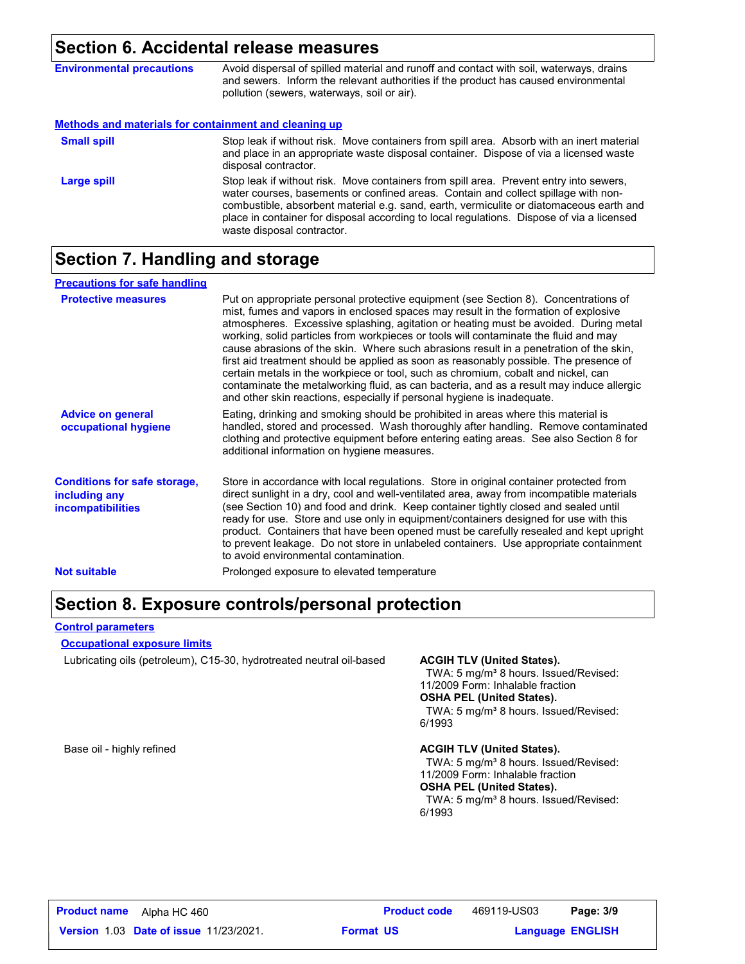### **Section 6. Accidental release measures**

| <b>Environmental precautions</b>                      | Avoid dispersal of spilled material and runoff and contact with soil, waterways, drains<br>and sewers. Inform the relevant authorities if the product has caused environmental<br>pollution (sewers, waterways, soil or air).                                                                                                                                                                      |
|-------------------------------------------------------|----------------------------------------------------------------------------------------------------------------------------------------------------------------------------------------------------------------------------------------------------------------------------------------------------------------------------------------------------------------------------------------------------|
| Methods and materials for containment and cleaning up |                                                                                                                                                                                                                                                                                                                                                                                                    |
| <b>Small spill</b>                                    | Stop leak if without risk. Move containers from spill area. Absorb with an inert material<br>and place in an appropriate waste disposal container. Dispose of via a licensed waste<br>disposal contractor.                                                                                                                                                                                         |
| Large spill                                           | Stop leak if without risk. Move containers from spill area. Prevent entry into sewers,<br>water courses, basements or confined areas. Contain and collect spillage with non-<br>combustible, absorbent material e.g. sand, earth, vermiculite or diatomaceous earth and<br>place in container for disposal according to local regulations. Dispose of via a licensed<br>waste disposal contractor. |

## **Section 7. Handling and storage**

| <b>Precautions for safe handling</b>                                             |                                                                                                                                                                                                                                                                                                                                                                                                                                                                                                                                                                                                                                                                                                                                                                                                          |
|----------------------------------------------------------------------------------|----------------------------------------------------------------------------------------------------------------------------------------------------------------------------------------------------------------------------------------------------------------------------------------------------------------------------------------------------------------------------------------------------------------------------------------------------------------------------------------------------------------------------------------------------------------------------------------------------------------------------------------------------------------------------------------------------------------------------------------------------------------------------------------------------------|
| <b>Protective measures</b>                                                       | Put on appropriate personal protective equipment (see Section 8). Concentrations of<br>mist, fumes and vapors in enclosed spaces may result in the formation of explosive<br>atmospheres. Excessive splashing, agitation or heating must be avoided. During metal<br>working, solid particles from workpieces or tools will contaminate the fluid and may<br>cause abrasions of the skin. Where such abrasions result in a penetration of the skin,<br>first aid treatment should be applied as soon as reasonably possible. The presence of<br>certain metals in the workpiece or tool, such as chromium, cobalt and nickel, can<br>contaminate the metalworking fluid, as can bacteria, and as a result may induce allergic<br>and other skin reactions, especially if personal hygiene is inadequate. |
| <b>Advice on general</b><br>occupational hygiene                                 | Eating, drinking and smoking should be prohibited in areas where this material is<br>handled, stored and processed. Wash thoroughly after handling. Remove contaminated<br>clothing and protective equipment before entering eating areas. See also Section 8 for<br>additional information on hygiene measures.                                                                                                                                                                                                                                                                                                                                                                                                                                                                                         |
| <b>Conditions for safe storage,</b><br>including any<br><b>incompatibilities</b> | Store in accordance with local regulations. Store in original container protected from<br>direct sunlight in a dry, cool and well-ventilated area, away from incompatible materials<br>(see Section 10) and food and drink. Keep container tightly closed and sealed until<br>ready for use. Store and use only in equipment/containers designed for use with this<br>product. Containers that have been opened must be carefully resealed and kept upright<br>to prevent leakage. Do not store in unlabeled containers. Use appropriate containment<br>to avoid environmental contamination.                                                                                                                                                                                                            |
| <b>Not suitable</b>                                                              | Prolonged exposure to elevated temperature                                                                                                                                                                                                                                                                                                                                                                                                                                                                                                                                                                                                                                                                                                                                                               |

### **Section 8. Exposure controls/personal protection**

#### **Control parameters**

#### **Occupational exposure limits**

Lubricating oils (petroleum), C15-30, hydrotreated neutral oil-based **ACGIH TLV (United States).**

TWA: 5 mg/m<sup>3</sup> 8 hours. Issued/Revised: 11/2009 Form: Inhalable fraction **OSHA PEL (United States).**

TWA: 5 mg/m<sup>3</sup> 8 hours. Issued/Revised: 6/1993

#### Base oil - highly refined **ACGIH TLV (United States). ACGIH TLV (United States).**

TWA: 5 mg/m<sup>3</sup> 8 hours. Issued/Revised: 11/2009 Form: Inhalable fraction **OSHA PEL (United States).**

TWA: 5 mg/m<sup>3</sup> 8 hours. Issued/Revised: 6/1993

469119-US03 Page: 3/9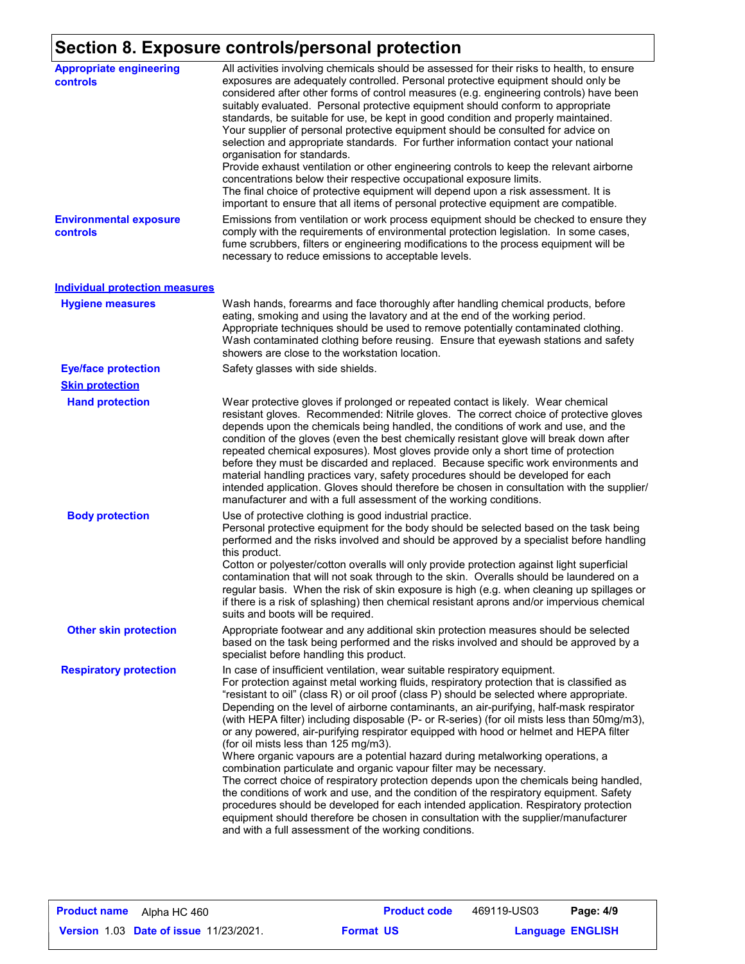## **Section 8. Exposure controls/personal protection**

| <b>Appropriate engineering</b><br><b>controls</b> | All activities involving chemicals should be assessed for their risks to health, to ensure<br>exposures are adequately controlled. Personal protective equipment should only be<br>considered after other forms of control measures (e.g. engineering controls) have been<br>suitably evaluated. Personal protective equipment should conform to appropriate<br>standards, be suitable for use, be kept in good condition and properly maintained.<br>Your supplier of personal protective equipment should be consulted for advice on<br>selection and appropriate standards. For further information contact your national<br>organisation for standards.<br>Provide exhaust ventilation or other engineering controls to keep the relevant airborne<br>concentrations below their respective occupational exposure limits.<br>The final choice of protective equipment will depend upon a risk assessment. It is<br>important to ensure that all items of personal protective equipment are compatible.                                                                                                                                                                          |
|---------------------------------------------------|-------------------------------------------------------------------------------------------------------------------------------------------------------------------------------------------------------------------------------------------------------------------------------------------------------------------------------------------------------------------------------------------------------------------------------------------------------------------------------------------------------------------------------------------------------------------------------------------------------------------------------------------------------------------------------------------------------------------------------------------------------------------------------------------------------------------------------------------------------------------------------------------------------------------------------------------------------------------------------------------------------------------------------------------------------------------------------------------------------------------------------------------------------------------------------------|
| <b>Environmental exposure</b><br>controls         | Emissions from ventilation or work process equipment should be checked to ensure they<br>comply with the requirements of environmental protection legislation. In some cases,<br>fume scrubbers, filters or engineering modifications to the process equipment will be<br>necessary to reduce emissions to acceptable levels.                                                                                                                                                                                                                                                                                                                                                                                                                                                                                                                                                                                                                                                                                                                                                                                                                                                       |
| <b>Individual protection measures</b>             |                                                                                                                                                                                                                                                                                                                                                                                                                                                                                                                                                                                                                                                                                                                                                                                                                                                                                                                                                                                                                                                                                                                                                                                     |
| <b>Hygiene measures</b>                           | Wash hands, forearms and face thoroughly after handling chemical products, before<br>eating, smoking and using the lavatory and at the end of the working period.<br>Appropriate techniques should be used to remove potentially contaminated clothing.<br>Wash contaminated clothing before reusing. Ensure that eyewash stations and safety<br>showers are close to the workstation location.                                                                                                                                                                                                                                                                                                                                                                                                                                                                                                                                                                                                                                                                                                                                                                                     |
| <b>Eye/face protection</b>                        | Safety glasses with side shields.                                                                                                                                                                                                                                                                                                                                                                                                                                                                                                                                                                                                                                                                                                                                                                                                                                                                                                                                                                                                                                                                                                                                                   |
| <b>Skin protection</b>                            |                                                                                                                                                                                                                                                                                                                                                                                                                                                                                                                                                                                                                                                                                                                                                                                                                                                                                                                                                                                                                                                                                                                                                                                     |
| <b>Hand protection</b>                            | Wear protective gloves if prolonged or repeated contact is likely. Wear chemical<br>resistant gloves. Recommended: Nitrile gloves. The correct choice of protective gloves<br>depends upon the chemicals being handled, the conditions of work and use, and the<br>condition of the gloves (even the best chemically resistant glove will break down after<br>repeated chemical exposures). Most gloves provide only a short time of protection<br>before they must be discarded and replaced. Because specific work environments and<br>material handling practices vary, safety procedures should be developed for each<br>intended application. Gloves should therefore be chosen in consultation with the supplier/<br>manufacturer and with a full assessment of the working conditions.                                                                                                                                                                                                                                                                                                                                                                                       |
| <b>Body protection</b>                            | Use of protective clothing is good industrial practice.<br>Personal protective equipment for the body should be selected based on the task being<br>performed and the risks involved and should be approved by a specialist before handling<br>this product.<br>Cotton or polyester/cotton overalls will only provide protection against light superficial<br>contamination that will not soak through to the skin. Overalls should be laundered on a<br>regular basis. When the risk of skin exposure is high (e.g. when cleaning up spillages or<br>if there is a risk of splashing) then chemical resistant aprons and/or impervious chemical<br>suits and boots will be required.                                                                                                                                                                                                                                                                                                                                                                                                                                                                                               |
| <b>Other skin protection</b>                      | Appropriate footwear and any additional skin protection measures should be selected<br>based on the task being performed and the risks involved and should be approved by a<br>specialist before handling this product.                                                                                                                                                                                                                                                                                                                                                                                                                                                                                                                                                                                                                                                                                                                                                                                                                                                                                                                                                             |
| <b>Respiratory protection</b>                     | In case of insufficient ventilation, wear suitable respiratory equipment.<br>For protection against metal working fluids, respiratory protection that is classified as<br>"resistant to oil" (class R) or oil proof (class P) should be selected where appropriate.<br>Depending on the level of airborne contaminants, an air-purifying, half-mask respirator<br>(with HEPA filter) including disposable (P- or R-series) (for oil mists less than 50mg/m3),<br>or any powered, air-purifying respirator equipped with hood or helmet and HEPA filter<br>(for oil mists less than 125 mg/m3).<br>Where organic vapours are a potential hazard during metalworking operations, a<br>combination particulate and organic vapour filter may be necessary.<br>The correct choice of respiratory protection depends upon the chemicals being handled,<br>the conditions of work and use, and the condition of the respiratory equipment. Safety<br>procedures should be developed for each intended application. Respiratory protection<br>equipment should therefore be chosen in consultation with the supplier/manufacturer<br>and with a full assessment of the working conditions. |

**Language ENGLISH** 469119-US03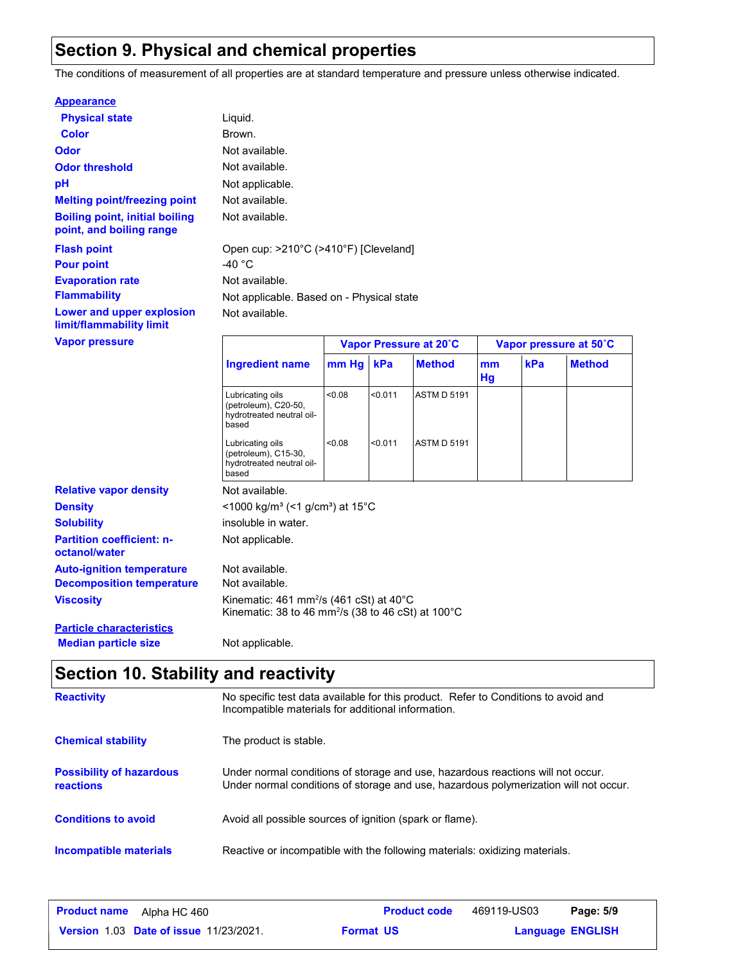### **Section 9. Physical and chemical properties**

The conditions of measurement of all properties are at standard temperature and pressure unless otherwise indicated.

#### **Appearance**

| <b>Physical state</b>                                             | Liquid.                    |
|-------------------------------------------------------------------|----------------------------|
| Color                                                             | Brown.                     |
| Odor                                                              | Not available.             |
| <b>Odor threshold</b>                                             | Not available.             |
| рH                                                                | Not applicable.            |
| <b>Melting point/freezing point</b>                               | Not available.             |
| <b>Boiling point, initial boiling</b><br>point, and boiling range | Not available.             |
| <b>Flash point</b>                                                | Open cup: $>210^{\circ}$ C |
| <b>Pour point</b>                                                 | -40 °C                     |
| <b>Evaporation rate</b>                                           | Not available.             |
| <b>Flammability</b>                                               | Not applicable. Ba         |
| <b>Lower and upper explosion</b><br>limit/flammability limit      | Not available.             |
| <b>Vanor processo</b>                                             |                            |

le. ble. Based on - Physical state **Flash point** Open cup: >210°C (>410°F) [Cleveland]

| Vapor pressure                                    |                                                                                                                                   | Vapor Pressure at 20°C                                  |         |                    |          | Vapor pressure at 50°C |               |  |
|---------------------------------------------------|-----------------------------------------------------------------------------------------------------------------------------------|---------------------------------------------------------|---------|--------------------|----------|------------------------|---------------|--|
|                                                   | <b>Ingredient name</b>                                                                                                            | $mm$ Hg $ $                                             | kPa     | <b>Method</b>      | mm<br>Hg | kPa                    | <b>Method</b> |  |
|                                                   | Lubricating oils<br>(petroleum), C20-50,<br>hydrotreated neutral oil-<br>based                                                    | < 0.08                                                  | < 0.011 | <b>ASTM D 5191</b> |          |                        |               |  |
|                                                   | Lubricating oils<br>(petroleum), C15-30,<br>hydrotreated neutral oil-<br>based                                                    | < 0.08                                                  | < 0.011 | <b>ASTM D 5191</b> |          |                        |               |  |
| <b>Relative vapor density</b>                     | Not available.                                                                                                                    |                                                         |         |                    |          |                        |               |  |
| <b>Density</b>                                    |                                                                                                                                   | <1000 kg/m <sup>3</sup> (<1 g/cm <sup>3</sup> ) at 15°C |         |                    |          |                        |               |  |
| <b>Solubility</b>                                 | insoluble in water.                                                                                                               |                                                         |         |                    |          |                        |               |  |
| <b>Partition coefficient: n-</b><br>octanol/water | Not applicable.                                                                                                                   |                                                         |         |                    |          |                        |               |  |
| <b>Auto-ignition temperature</b>                  | Not available.                                                                                                                    |                                                         |         |                    |          |                        |               |  |
| <b>Decomposition temperature</b>                  | Not available.                                                                                                                    |                                                         |         |                    |          |                        |               |  |
| <b>Viscosity</b>                                  | Kinematic: 461 mm <sup>2</sup> /s (461 cSt) at 40 $^{\circ}$ C<br>Kinematic: 38 to 46 mm <sup>2</sup> /s (38 to 46 cSt) at 100 °C |                                                         |         |                    |          |                        |               |  |
| <b>Particle characteristics</b>                   |                                                                                                                                   |                                                         |         |                    |          |                        |               |  |
| <b>Median particle size</b>                       | Not applicable.                                                                                                                   |                                                         |         |                    |          |                        |               |  |

## **Section 10. Stability and reactivity**

| <b>Reactivity</b>                            | No specific test data available for this product. Refer to Conditions to avoid and<br>Incompatible materials for additional information.                                |
|----------------------------------------------|-------------------------------------------------------------------------------------------------------------------------------------------------------------------------|
| <b>Chemical stability</b>                    | The product is stable.                                                                                                                                                  |
| <b>Possibility of hazardous</b><br>reactions | Under normal conditions of storage and use, hazardous reactions will not occur.<br>Under normal conditions of storage and use, hazardous polymerization will not occur. |
| <b>Conditions to avoid</b>                   | Avoid all possible sources of ignition (spark or flame).                                                                                                                |
| Incompatible materials                       | Reactive or incompatible with the following materials: oxidizing materials.                                                                                             |

| <b>Product name</b><br>Alpha HC 460           | <b>Product code</b> | 469119-US03             | Page: 5/9 |  |
|-----------------------------------------------|---------------------|-------------------------|-----------|--|
| <b>Version 1.03 Date of issue 11/23/2021.</b> | <b>Format US</b>    | <b>Language ENGLISH</b> |           |  |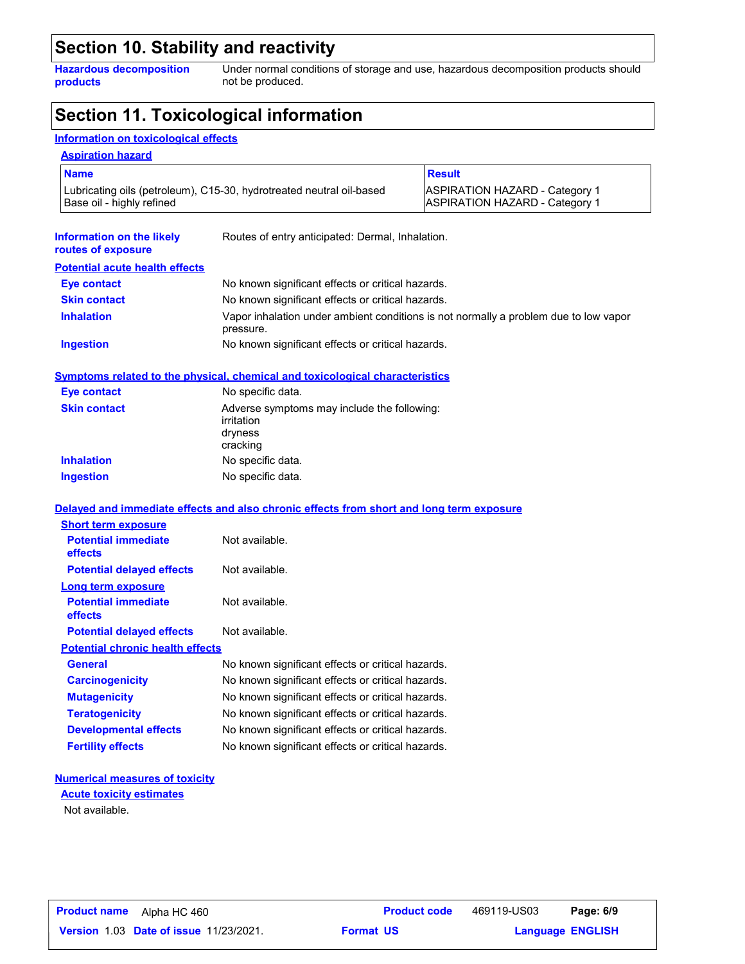### **Section 10. Stability and reactivity**

**Hazardous decomposition products**

Under normal conditions of storage and use, hazardous decomposition products should not be produced.

### **Section 11. Toxicological information**

#### **Information on toxicological effects**

| <b>Name</b>                                                                                       |                                                                                     | <b>Result</b>                                                                        |  |
|---------------------------------------------------------------------------------------------------|-------------------------------------------------------------------------------------|--------------------------------------------------------------------------------------|--|
| Lubricating oils (petroleum), C15-30, hydrotreated neutral oil-based<br>Base oil - highly refined |                                                                                     | <b>ASPIRATION HAZARD - Category 1</b><br><b>ASPIRATION HAZARD - Category 1</b>       |  |
| Information on the likely<br>routes of exposure                                                   | Routes of entry anticipated: Dermal, Inhalation.                                    |                                                                                      |  |
| <b>Potential acute health effects</b>                                                             |                                                                                     |                                                                                      |  |
| Eye contact                                                                                       | No known significant effects or critical hazards.                                   |                                                                                      |  |
| <b>Skin contact</b>                                                                               | No known significant effects or critical hazards.                                   |                                                                                      |  |
| <b>Inhalation</b>                                                                                 | pressure.                                                                           | Vapor inhalation under ambient conditions is not normally a problem due to low vapor |  |
| <b>Ingestion</b>                                                                                  | No known significant effects or critical hazards.                                   |                                                                                      |  |
|                                                                                                   | <b>Symptoms related to the physical, chemical and toxicological characteristics</b> |                                                                                      |  |
| <b>Eye contact</b>                                                                                | No specific data.                                                                   |                                                                                      |  |
| <b>Skin contact</b>                                                                               | Adverse symptoms may include the following:<br>irritation<br>dryness<br>cracking    |                                                                                      |  |
| <b>Inhalation</b>                                                                                 | No specific data.                                                                   |                                                                                      |  |
| <b>Ingestion</b>                                                                                  | No specific data.                                                                   |                                                                                      |  |
| Delayed and immediate effects and also chronic effects from short and long term exposure          |                                                                                     |                                                                                      |  |
|                                                                                                   |                                                                                     |                                                                                      |  |
| <b>Short term exposure</b>                                                                        |                                                                                     |                                                                                      |  |
| <b>Potential immediate</b><br>effects                                                             | Not available.                                                                      |                                                                                      |  |
| <b>Potential delayed effects</b>                                                                  | Not available.                                                                      |                                                                                      |  |
| Long term exposure                                                                                |                                                                                     |                                                                                      |  |
| <b>Potential immediate</b><br>effects                                                             | Not available.                                                                      |                                                                                      |  |
| <b>Potential delayed effects</b>                                                                  | Not available.                                                                      |                                                                                      |  |
| <b>Potential chronic health effects</b>                                                           |                                                                                     |                                                                                      |  |
| <b>General</b>                                                                                    | No known significant effects or critical hazards.                                   |                                                                                      |  |
| <b>Carcinogenicity</b>                                                                            | No known significant effects or critical hazards.                                   |                                                                                      |  |
| <b>Mutagenicity</b>                                                                               | No known significant effects or critical hazards.                                   |                                                                                      |  |
| <b>Teratogenicity</b>                                                                             | No known significant effects or critical hazards.                                   |                                                                                      |  |
| <b>Developmental effects</b>                                                                      | No known significant effects or critical hazards.                                   |                                                                                      |  |

#### **Numerical measures of toxicity**

Not available. **Acute toxicity estimates**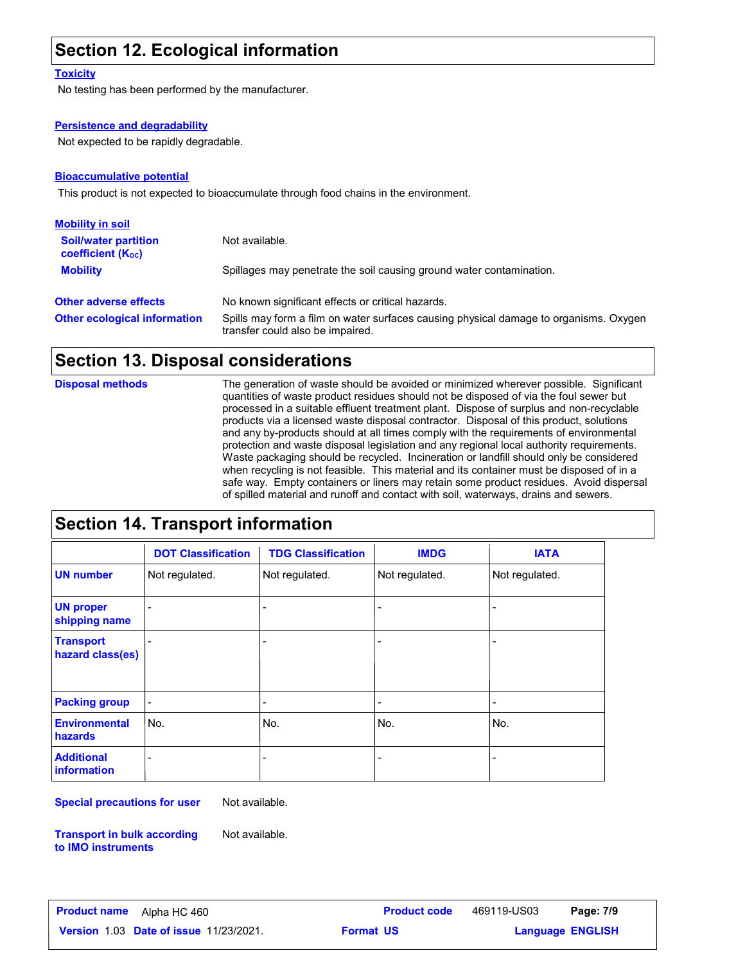### **Section 12. Ecological information**

#### **Toxicity**

No testing has been performed by the manufacturer.

#### **Persistence and degradability**

Not expected to be rapidly degradable.

#### **Bioaccumulative potential**

This product is not expected to bioaccumulate through food chains in the environment.

| <b>Mobility in soil</b>                                 |                                                                                                                           |
|---------------------------------------------------------|---------------------------------------------------------------------------------------------------------------------------|
| <b>Soil/water partition</b><br><b>coefficient (Koc)</b> | Not available.                                                                                                            |
| <b>Mobility</b>                                         | Spillages may penetrate the soil causing ground water contamination.                                                      |
| <b>Other adverse effects</b>                            | No known significant effects or critical hazards.                                                                         |
| <b>Other ecological information</b>                     | Spills may form a film on water surfaces causing physical damage to organisms. Oxygen<br>transfer could also be impaired. |

#### **Section 13. Disposal considerations**

**Disposal methods**

The generation of waste should be avoided or minimized wherever possible. Significant quantities of waste product residues should not be disposed of via the foul sewer but processed in a suitable effluent treatment plant. Dispose of surplus and non-recyclable products via a licensed waste disposal contractor. Disposal of this product, solutions and any by-products should at all times comply with the requirements of environmental protection and waste disposal legislation and any regional local authority requirements. Waste packaging should be recycled. Incineration or landfill should only be considered when recycling is not feasible. This material and its container must be disposed of in a safe way. Empty containers or liners may retain some product residues. Avoid dispersal of spilled material and runoff and contact with soil, waterways, drains and sewers.

### **Section 14. Transport information**

|                                      | <b>DOT Classification</b> | <b>TDG Classification</b> | <b>IMDG</b>              | <b>IATA</b>    |
|--------------------------------------|---------------------------|---------------------------|--------------------------|----------------|
| <b>UN</b> number                     | Not regulated.            | Not regulated.            | Not regulated.           | Not regulated. |
| <b>UN proper</b><br>shipping name    |                           | $\overline{a}$            | $\overline{\phantom{0}}$ |                |
| <b>Transport</b><br>hazard class(es) |                           | -                         | $\overline{\phantom{0}}$ |                |
| <b>Packing group</b>                 | $\overline{a}$            | -                         | $\overline{\phantom{0}}$ |                |
| <b>Environmental</b><br>hazards      | No.                       | No.                       | No.                      | No.            |
| <b>Additional</b><br>information     |                           |                           |                          |                |

**Special precautions for user**

Not available.

**Transport in bulk according to IMO instruments**

Not available.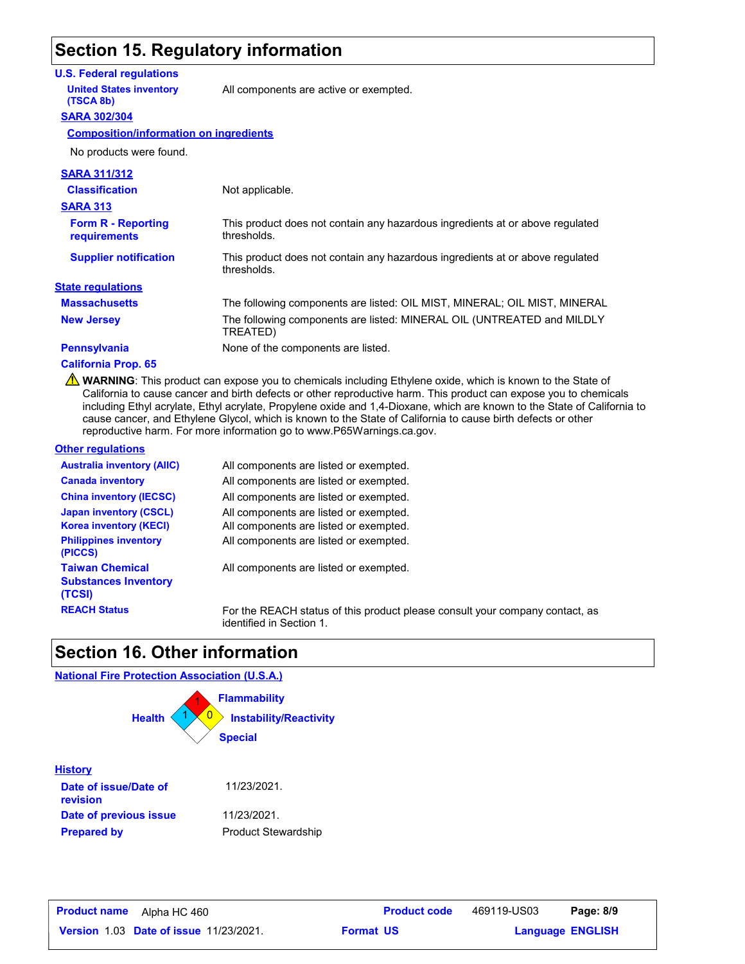### **Section 15. Regulatory information**

#### **U.S. Federal regulations**

**United States inventory** All components are active or exempted.

#### **SARA 302/304 (TSCA 8b)**

**Composition/information on ingredients**

| <b>SARA 311/312</b>                       |                                                                                              |
|-------------------------------------------|----------------------------------------------------------------------------------------------|
| <b>Classification</b>                     | Not applicable.                                                                              |
| <b>SARA 313</b>                           |                                                                                              |
| <b>Form R - Reporting</b><br>requirements | This product does not contain any hazardous ingredients at or above regulated<br>thresholds. |
| <b>Supplier notification</b>              | This product does not contain any hazardous ingredients at or above regulated<br>thresholds. |
| <b>State regulations</b>                  |                                                                                              |
| <b>Massachusetts</b>                      | The following components are listed: OIL MIST, MINERAL; OIL MIST, MINERAL                    |
| <b>New Jersey</b>                         | The following components are listed: MINERAL OIL (UNTREATED and MILDLY<br>TREATED)           |
| <b>Pennsylvania</b>                       | None of the components are listed.                                                           |
|                                           |                                                                                              |

#### **California Prop. 65**

**A** WARNING: This product can expose you to chemicals including Ethylene oxide, which is known to the State of California to cause cancer and birth defects or other reproductive harm. This product can expose you to chemicals including Ethyl acrylate, Ethyl acrylate, Propylene oxide and 1,4-Dioxane, which are known to the State of California to cause cancer, and Ethylene Glycol, which is known to the State of California to cause birth defects or other reproductive harm. For more information go to www.P65Warnings.ca.gov.

#### **Other regulations**

**Prepared by**

| <b>Australia inventory (AIIC)</b>                               | All components are listed or exempted.                                                                   |
|-----------------------------------------------------------------|----------------------------------------------------------------------------------------------------------|
| <b>Canada inventory</b>                                         | All components are listed or exempted.                                                                   |
| <b>China inventory (IECSC)</b>                                  | All components are listed or exempted.                                                                   |
| <b>Japan inventory (CSCL)</b>                                   | All components are listed or exempted.                                                                   |
| <b>Korea inventory (KECI)</b>                                   | All components are listed or exempted.                                                                   |
| <b>Philippines inventory</b><br>(PICCS)                         | All components are listed or exempted.                                                                   |
| <b>Taiwan Chemical</b><br><b>Substances Inventory</b><br>(TCSI) | All components are listed or exempted.                                                                   |
| <b>REACH Status</b>                                             | For the REACH status of this product please consult your company contact, as<br>identified in Section 1. |

### **Section 16. Other information**

#### **National Fire Protection Association (U.S.A.)**



Product Stewardship

| <b>Product name</b><br>Alpha HC 460           | <b>Product code</b> | 469119-US03 | Page: 8/9               |  |
|-----------------------------------------------|---------------------|-------------|-------------------------|--|
| <b>Version 1.03 Date of issue 11/23/2021.</b> | <b>Format US</b>    |             | <b>Language ENGLISH</b> |  |